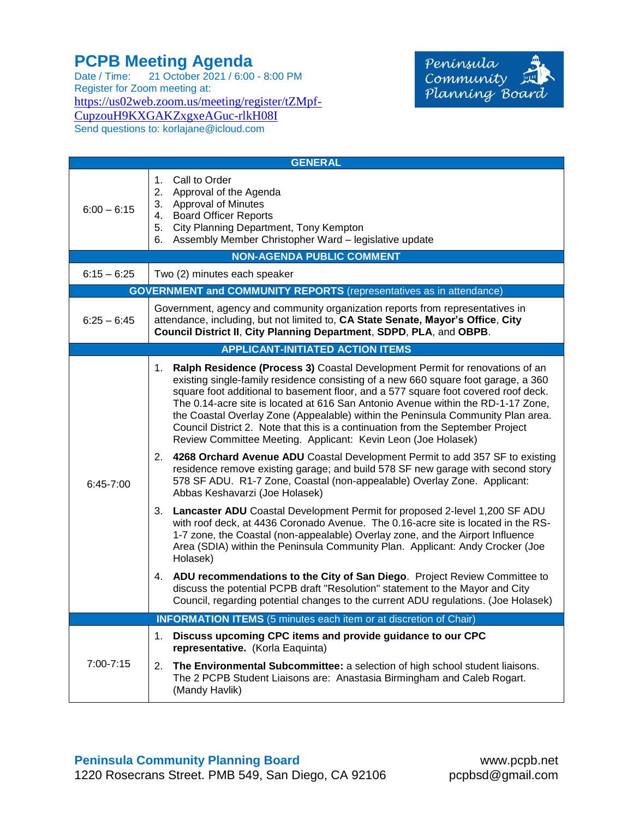## **PCPB Meeting Agenda**

Date / Time: 21 October 2021 / 6:00 - 8:00 PM Register for Zoom meeting at: [https://us02web.zoom.us/meeting/register/tZMpf-](https://us02web.zoom.us/meeting/register/tZMpf-CupzouH9KXGAKZxgxeAGuc-rlkH08I)[CupzouH9KXGAKZxgxeAGuc-rlkH08I](https://us02web.zoom.us/meeting/register/tZMpf-CupzouH9KXGAKZxgxeAGuc-rlkH08I) Send questions to: korlajane@icloud.com



| <b>GENERAL</b>                                                             |                                                                                                                                                                                                                                                                                                                                                                                                                                                                                                                                                                                           |  |
|----------------------------------------------------------------------------|-------------------------------------------------------------------------------------------------------------------------------------------------------------------------------------------------------------------------------------------------------------------------------------------------------------------------------------------------------------------------------------------------------------------------------------------------------------------------------------------------------------------------------------------------------------------------------------------|--|
| $6:00 - 6:15$                                                              | Call to Order<br>1.<br>2. Approval of the Agenda<br>3. Approval of Minutes<br>4. Board Officer Reports<br>5. City Planning Department, Tony Kempton<br>6. Assembly Member Christopher Ward - legislative update                                                                                                                                                                                                                                                                                                                                                                           |  |
| <b>NON-AGENDA PUBLIC COMMENT</b>                                           |                                                                                                                                                                                                                                                                                                                                                                                                                                                                                                                                                                                           |  |
| $6:15 - 6:25$                                                              | Two (2) minutes each speaker                                                                                                                                                                                                                                                                                                                                                                                                                                                                                                                                                              |  |
| <b>GOVERNMENT and COMMUNITY REPORTS</b> (representatives as in attendance) |                                                                                                                                                                                                                                                                                                                                                                                                                                                                                                                                                                                           |  |
| $6:25 - 6:45$                                                              | Government, agency and community organization reports from representatives in<br>attendance, including, but not limited to, CA State Senate, Mayor's Office, City<br>Council District II, City Planning Department, SDPD, PLA, and OBPB.                                                                                                                                                                                                                                                                                                                                                  |  |
| <b>APPLICANT-INITIATED ACTION ITEMS</b>                                    |                                                                                                                                                                                                                                                                                                                                                                                                                                                                                                                                                                                           |  |
| $6:45-7:00$                                                                | Ralph Residence (Process 3) Coastal Development Permit for renovations of an<br>1.<br>existing single-family residence consisting of a new 660 square foot garage, a 360<br>square foot additional to basement floor, and a 577 square foot covered roof deck.<br>The 0.14-acre site is located at 616 San Antonio Avenue within the RD-1-17 Zone,<br>the Coastal Overlay Zone (Appealable) within the Peninsula Community Plan area.<br>Council District 2. Note that this is a continuation from the September Project<br>Review Committee Meeting. Applicant: Kevin Leon (Joe Holasek) |  |
|                                                                            | 2. 4268 Orchard Avenue ADU Coastal Development Permit to add 357 SF to existing<br>residence remove existing garage; and build 578 SF new garage with second story<br>578 SF ADU. R1-7 Zone, Coastal (non-appealable) Overlay Zone. Applicant:<br>Abbas Keshavarzi (Joe Holasek)                                                                                                                                                                                                                                                                                                          |  |
|                                                                            | 3. Lancaster ADU Coastal Development Permit for proposed 2-level 1,200 SF ADU<br>with roof deck, at 4436 Coronado Avenue. The 0.16-acre site is located in the RS-<br>1-7 zone, the Coastal (non-appealable) Overlay zone, and the Airport Influence<br>Area (SDIA) within the Peninsula Community Plan. Applicant: Andy Crocker (Joe<br>Holasek)                                                                                                                                                                                                                                         |  |
|                                                                            | 4. ADU recommendations to the City of San Diego. Project Review Committee to<br>discuss the potential PCPB draft "Resolution" statement to the Mayor and City<br>Council, regarding potential changes to the current ADU regulations. (Joe Holasek)                                                                                                                                                                                                                                                                                                                                       |  |
| <b>INFORMATION ITEMS</b> (5 minutes each item or at discretion of Chair)   |                                                                                                                                                                                                                                                                                                                                                                                                                                                                                                                                                                                           |  |
| 7:00-7:15                                                                  | Discuss upcoming CPC items and provide guidance to our CPC<br>1.<br>representative. (Korla Eaquinta)                                                                                                                                                                                                                                                                                                                                                                                                                                                                                      |  |
|                                                                            | The Environmental Subcommittee: a selection of high school student liaisons.<br>2.<br>The 2 PCPB Student Liaisons are: Anastasia Birmingham and Caleb Rogart.<br>(Mandy Havlik)                                                                                                                                                                                                                                                                                                                                                                                                           |  |